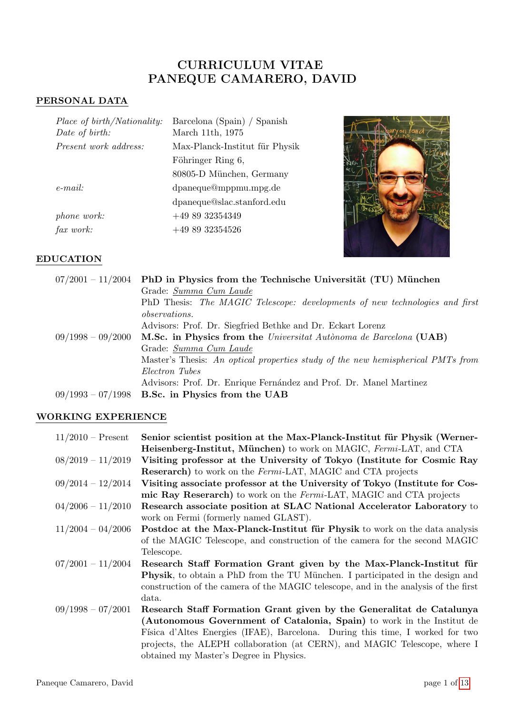# CURRICULUM VITAE PANEQUE CAMARERO, DAVID

## PERSONAL DATA

| Place of birth/Nationality:<br>Date of birth: | Barcelona (Spain) / Spanish<br>March 11th, 1975 |
|-----------------------------------------------|-------------------------------------------------|
| <i>Present work address:</i>                  | Max-Planck-Institut für Physik                  |
|                                               | Föhringer Ring 6,                               |
|                                               | 80805-D München, Germany                        |
| $e$ -mail:                                    | dpaneque@mppmu.mpg.de                           |
|                                               | dpaneque@slac.stanford.edu                      |
| phone work:                                   | $+498932354349$                                 |
| fax work:                                     | $+498932354526$                                 |



## EDUCATION

|                     | $07/2001 - 11/2004$ PhD in Physics from the Technische Universität (TU) München |
|---------------------|---------------------------------------------------------------------------------|
|                     | Grade: Summa Cum Laude                                                          |
|                     | PhD Thesis: The MAGIC Telescope: developments of new technologies and first     |
|                     | <i>observations.</i>                                                            |
|                     | Advisors: Prof. Dr. Siegfried Bethke and Dr. Eckart Lorenz                      |
| $09/1998 - 09/2000$ | M.Sc. in Physics from the Universitat Autonoma de Barcelona (UAB)               |
|                     | Grade: Summa Cum Laude                                                          |
|                     | Master's Thesis: An optical properties study of the new hemispherical PMTs from |
|                     | Electron Tubes                                                                  |
|                     | Advisors: Prof. Dr. Enrique Fernández and Prof. Dr. Manel Martinez              |
|                     | $09/1993 - 07/1998$ B.Sc. in Physics from the UAB                               |

## WORKING EXPERIENCE

| $11/2010$ – Present | Senior scientist position at the Max-Planck-Institut für Physik (Werner-              |
|---------------------|---------------------------------------------------------------------------------------|
|                     | <b>Heisenberg-Institut, München</b> ) to work on MAGIC, Fermi-LAT, and CTA            |
| $08/2019 - 11/2019$ | Visiting professor at the University of Tokyo (Institute for Cosmic Ray               |
|                     | <b>Reserarch</b> ) to work on the <i>Fermi</i> -LAT, MAGIC and CTA projects           |
| $09/2014 - 12/2014$ | Visiting associate professor at the University of Tokyo (Institute for Cos-           |
|                     | mic Ray Reserarch) to work on the Fermi-LAT, MAGIC and CTA projects                   |
| $04/2006 - 11/2010$ | Research associate position at SLAC National Accelerator Laboratory to                |
|                     | work on Fermi (formerly named GLAST).                                                 |
| $11/2004 - 04/2006$ | Postdoc at the Max-Planck-Institut für Physik to work on the data analysis            |
|                     | of the MAGIC Telescope, and construction of the camera for the second MAGIC           |
|                     | Telescope.                                                                            |
| $07/2001 - 11/2004$ | Research Staff Formation Grant given by the Max-Planck-Institut für                   |
|                     | <b>Physik</b> , to obtain a PhD from the TU München. I participated in the design and |
|                     | construction of the camera of the MAGIC telescope, and in the analysis of the first   |
|                     | data.                                                                                 |
| $09/1998 - 07/2001$ | Research Staff Formation Grant given by the Generalitat de Catalunya                  |
|                     | (Autonomous Government of Catalonia, Spain) to work in the Institut de                |
|                     | Física d'Altes Energies (IFAE), Barcelona. During this time, I worked for two         |
|                     | projects, the ALEPH collaboration (at CERN), and MAGIC Telescope, where I             |
|                     | obtained my Master's Degree in Physics.                                               |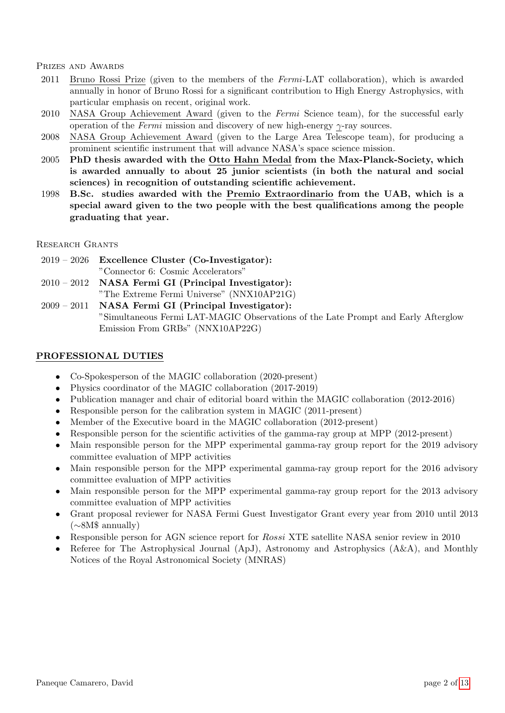Prizes and Awards

- 2011 Bruno Rossi Prize (given to the members of the Fermi-LAT collaboration), which is awarded annually in honor of Bruno Rossi for a significant contribution to High Energy Astrophysics, with particular emphasis on recent, original work.
- 2010 NASA Group Achievement Award (given to the Fermi Science team), for the successful early operation of the *Fermi* mission and discovery of new high-energy  $\gamma$ -ray sources.
- 2008 NASA Group Achievement Award (given to the Large Area Telescope team), for producing a prominent scientific instrument that will advance NASA's space science mission.
- 2005 PhD thesis awarded with the Otto Hahn Medal from the Max-Planck-Society, which is awarded annually to about 25 junior scientists (in both the natural and social sciences) in recognition of outstanding scientific achievement.
- 1998 B.Sc. studies awarded with the Premio Extraordinario from the UAB, which is a special award given to the two people with the best qualifications among the people graduating that year.

Research Grants

- 2019 2026 Excellence Cluster (Co-Investigator): "Connector 6: Cosmic Accelerators"
- 2010 2012 NASA Fermi GI (Principal Investigator): "The Extreme Fermi Universe" (NNX10AP21G)
- 2009 2011 NASA Fermi GI (Principal Investigator): "Simultaneous Fermi LAT-MAGIC Observations of the Late Prompt and Early Afterglow Emission From GRBs" (NNX10AP22G)

### PROFESSIONAL DUTIES

- Co-Spokesperson of the MAGIC collaboration (2020-present)
- Physics coordinator of the MAGIC collaboration (2017-2019)
- Publication manager and chair of editorial board within the MAGIC collaboration (2012-2016)
- Responsible person for the calibration system in MAGIC (2011-present)
- Member of the Executive board in the MAGIC collaboration (2012-present)
- Responsible person for the scientific activities of the gamma-ray group at MPP (2012-present)
- Main responsible person for the MPP experimental gamma-ray group report for the 2019 advisory committee evaluation of MPP activities
- Main responsible person for the MPP experimental gamma-ray group report for the 2016 advisory committee evaluation of MPP activities
- Main responsible person for the MPP experimental gamma-ray group report for the 2013 advisory committee evaluation of MPP activities
- Grant proposal reviewer for NASA Fermi Guest Investigator Grant every year from 2010 until 2013 (∼8M\$ annually)
- Responsible person for AGN science report for *Rossi* XTE satellite NASA senior review in 2010
- Referee for The Astrophysical Journal (ApJ), Astronomy and Astrophysics (A&A), and Monthly Notices of the Royal Astronomical Society (MNRAS)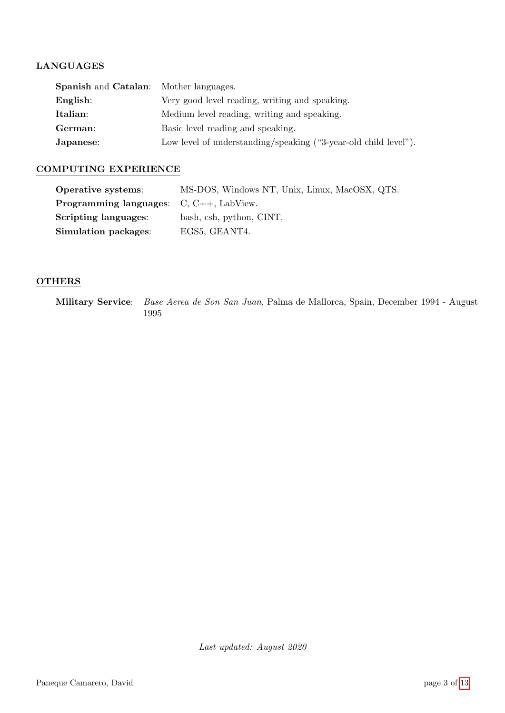### LANGUAGES

| <b>Spanish and Catalan:</b> Mother languages.                   |  |
|-----------------------------------------------------------------|--|
| Very good level reading, writing and speaking.                  |  |
| Medium level reading, writing and speaking.                     |  |
| Basic level reading and speaking.                               |  |
| Low level of understanding/speaking ("3-year-old child level"). |  |
|                                                                 |  |

### COMPUTING EXPERIENCE

| Operative systems:                               | MS-DOS, Windows NT, Unix, Linux, MacOSX, QTS. |
|--------------------------------------------------|-----------------------------------------------|
| <b>Programming languages:</b> $C, C++, LabView.$ |                                               |
| Scripting languages:                             | bash, csh, python, CINT.                      |
| Simulation packages:                             | EGS5, GEANT4.                                 |

### OTHERS

Military Service: Base Aerea de Son San Juan, Palma de Mallorca, Spain, December 1994 - August 1995

Last updated: August 2020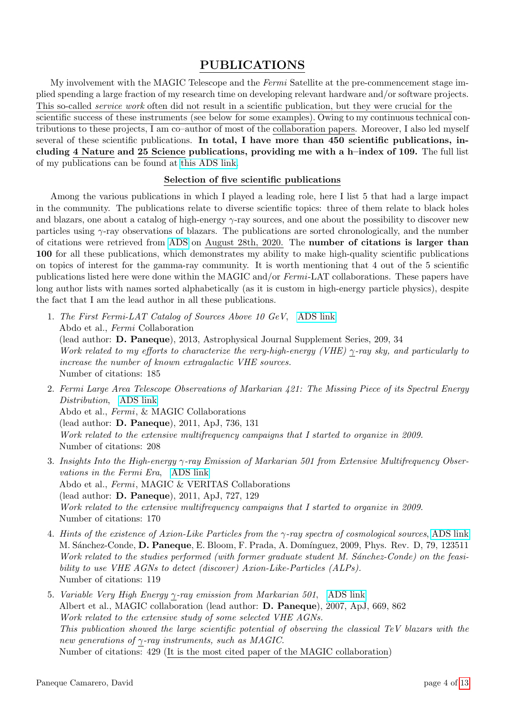## PUBLICATIONS

My involvement with the MAGIC Telescope and the Fermi Satellite at the pre-commencement stage implied spending a large fraction of my research time on developing relevant hardware and/or software projects. This so-called service work often did not result in a scientific publication, but they were crucial for the scientific success of these instruments (see below for some examples). Owing to my continuous technical contributions to these projects, I am co–author of most of the collaboration papers. Moreover, I also led myself several of these scientific publications. In total, I have more than 450 scientific publications, including 4 Nature and 25 Science publications, providing me with a h–index of 109. The full list of my publications can be found at [this ADS link.](https://ui.adsabs.harvard.edu/search/p_=0&q=%20author%3A%22Paneque%2CD.%22&sort=date%20desc%2C%20bibcode%20desc)

### Selection of five scientific publications

Among the various publications in which I played a leading role, here I list 5 that had a large impact in the community. The publications relate to diverse scientific topics: three of them relate to black holes and blazars, one about a catalog of high-energy  $\gamma$ -ray sources, and one about the possibility to discover new particles using  $\gamma$ -ray observations of blazars. The publications are sorted chronologically, and the number of citations were retrieved from [ADS](https://ui.adsabs.harvard.edu) on August 28th, 2020. The number of citations is larger than 100 for all these publications, which demonstrates my ability to make high-quality scientific publications on topics of interest for the gamma-ray community. It is worth mentioning that 4 out of the 5 scientific publications listed here were done within the MAGIC and/or Fermi-LAT collaborations. These papers have long author lists with names sorted alphabetically (as it is custom in high-energy particle physics), despite the fact that I am the lead author in all these publications.

- 1. The First Fermi-LAT Catalog of Sources Above 10 GeV, [ADS link](https://ui.adsabs.harvard.edu/abs/2013ApJS..209...34A/abstract) Abdo et al., Fermi Collaboration (lead author: D. Paneque), 2013, Astrophysical Journal Supplement Series, 209, 34 Work related to my efforts to characterize the very-high-energy (VHE)  $\gamma$ -ray sky, and particularly to increase the number of known extragalactic VHE sources. Number of citations: 185
- 2. Fermi Large Area Telescope Observations of Markarian 421: The Missing Piece of its Spectral Energy Distribution, [ADS link](https://ui.adsabs.harvard.edu/abs/2011ApJ...736..131A/abstract) Abdo et al., Fermi, & MAGIC Collaborations (lead author: D. Paneque), 2011, ApJ, 736, 131 Work related to the extensive multifrequency campaigns that I started to organize in 2009. Number of citations: 208
- 3. Insights Into the High-energy γ-ray Emission of Markarian 501 from Extensive Multifrequency Observations in the Fermi Era, [ADS link](https://ui.adsabs.harvard.edu/abs/2011ApJ...727..129A/abstract) Abdo et al., Fermi, MAGIC & VERITAS Collaborations (lead author: D. Paneque), 2011, ApJ, 727, 129 Work related to the extensive multifrequency campaigns that I started to organize in 2009. Number of citations: 170
- 4. Hints of the existence of Axion-Like Particles from the γ-ray spectra of cosmological sources, [ADS link](https://ui.adsabs.harvard.edu/abs/2009PhRvD..79l3511S/abstract) M. Sánchez-Conde, D. Paneque, E. Bloom, F. Prada, A. Domínguez, 2009, Phys. Rev. D, 79, 123511 Work related to the studies performed (with former graduate student M. Sánchez-Conde) on the feasibility to use VHE AGNs to detect (discover) Axion-Like-Particles (ALPs). Number of citations: 119
- 5. Variable Very High Energy γ-ray emission from Markarian 501, [ADS link](https://ui.adsabs.harvard.edu/abs/2007ApJ...669..862A/abstract) Albert et al., MAGIC collaboration (lead author: D. Paneque), 2007, ApJ, 669, 862 Work related to the extensive study of some selected VHE AGNs. This publication showed the large scientific potential of observing the classical TeV blazars with the new generations of  $\gamma$ -ray instruments, such as MAGIC. Number of citations: 429 (It is the most cited paper of the MAGIC collaboration)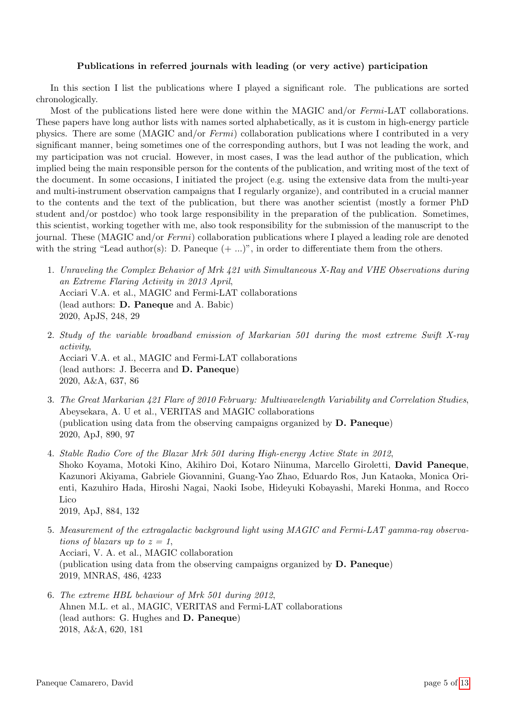#### Publications in referred journals with leading (or very active) participation

In this section I list the publications where I played a significant role. The publications are sorted chronologically.

Most of the publications listed here were done within the MAGIC and/or Fermi-LAT collaborations. These papers have long author lists with names sorted alphabetically, as it is custom in high-energy particle physics. There are some (MAGIC and/or Fermi) collaboration publications where I contributed in a very significant manner, being sometimes one of the corresponding authors, but I was not leading the work, and my participation was not crucial. However, in most cases, I was the lead author of the publication, which implied being the main responsible person for the contents of the publication, and writing most of the text of the document. In some occasions, I initiated the project (e.g. using the extensive data from the multi-year and multi-instrument observation campaigns that I regularly organize), and contributed in a crucial manner to the contents and the text of the publication, but there was another scientist (mostly a former PhD student and/or postdoc) who took large responsibility in the preparation of the publication. Sometimes, this scientist, working together with me, also took responsibility for the submission of the manuscript to the journal. These (MAGIC and/or  $Fermi$ ) collaboration publications where I played a leading role are denoted with the string "Lead author(s): D. Paneque  $(+ \ldots)$ ", in order to differentiate them from the others.

- 1. Unraveling the Complex Behavior of Mrk 421 with Simultaneous X-Ray and VHE Observations during an Extreme Flaring Activity in 2013 April, Acciari V.A. et al., MAGIC and Fermi-LAT collaborations (lead authors: D. Paneque and A. Babic) 2020, ApJS, 248, 29
- 2. Study of the variable broadband emission of Markarian 501 during the most extreme Swift X-ray activity, Acciari V.A. et al., MAGIC and Fermi-LAT collaborations (lead authors: J. Becerra and D. Paneque) 2020, A&A, 637, 86
- 3. The Great Markarian 421 Flare of 2010 February: Multiwavelength Variability and Correlation Studies, Abeysekara, A. U et al., VERITAS and MAGIC collaborations (publication using data from the observing campaigns organized by D. Paneque) 2020, ApJ, 890, 97
- 4. Stable Radio Core of the Blazar Mrk 501 during High-energy Active State in 2012, Shoko Koyama, Motoki Kino, Akihiro Doi, Kotaro Niinuma, Marcello Giroletti, David Paneque, Kazunori Akiyama, Gabriele Giovannini, Guang-Yao Zhao, Eduardo Ros, Jun Kataoka, Monica Orienti, Kazuhiro Hada, Hiroshi Nagai, Naoki Isobe, Hideyuki Kobayashi, Mareki Honma, and Rocco Lico 2019, ApJ, 884, 132
- 5. Measurement of the extragalactic background light using MAGIC and Fermi-LAT gamma-ray observations of blazars up to  $z = 1$ , Acciari, V. A. et al., MAGIC collaboration (publication using data from the observing campaigns organized by D. Paneque) 2019, MNRAS, 486, 4233
- 6. The extreme HBL behaviour of Mrk 501 during 2012, Ahnen M.L. et al., MAGIC, VERITAS and Fermi-LAT collaborations (lead authors: G. Hughes and D. Paneque) 2018, A&A, 620, 181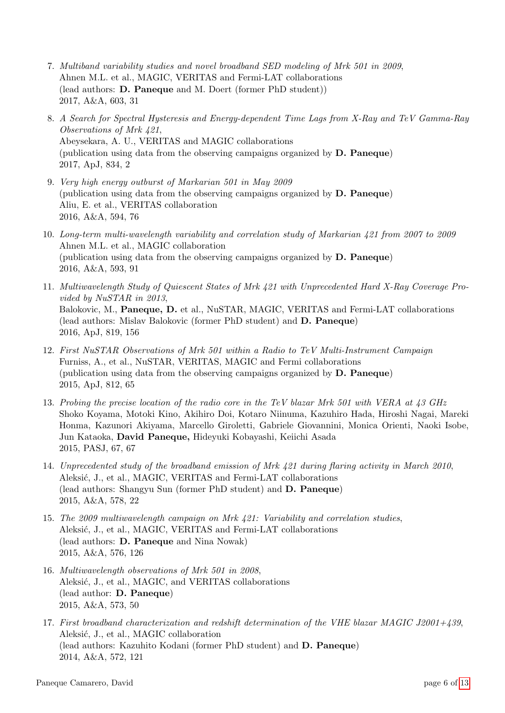- 7. Multiband variability studies and novel broadband SED modeling of Mrk 501 in 2009, Ahnen M.L. et al., MAGIC, VERITAS and Fermi-LAT collaborations (lead authors: D. Paneque and M. Doert (former PhD student)) 2017, A&A, 603, 31
- 8. A Search for Spectral Hysteresis and Energy-dependent Time Lags from X-Ray and TeV Gamma-Ray Observations of Mrk 421, Abeysekara, A. U., VERITAS and MAGIC collaborations (publication using data from the observing campaigns organized by D. Paneque) 2017, ApJ, 834, 2
- 9. Very high energy outburst of Markarian 501 in May 2009 (publication using data from the observing campaigns organized by D. Paneque) Aliu, E. et al., VERITAS collaboration 2016, A&A, 594, 76
- 10. Long-term multi-wavelength variability and correlation study of Markarian 421 from 2007 to 2009 Ahnen M.L. et al., MAGIC collaboration (publication using data from the observing campaigns organized by D. Paneque) 2016, A&A, 593, 91
- 11. Multiwavelength Study of Quiescent States of Mrk 421 with Unprecedented Hard X-Ray Coverage Provided by NuSTAR in 2013, Balokovic, M., Paneque, D. et al., NuSTAR, MAGIC, VERITAS and Fermi-LAT collaborations (lead authors: Mislav Balokovic (former PhD student) and D. Paneque) 2016, ApJ, 819, 156
- 12. First NuSTAR Observations of Mrk 501 within a Radio to TeV Multi-Instrument Campaign Furniss, A., et al., NuSTAR, VERITAS, MAGIC and Fermi collaborations (publication using data from the observing campaigns organized by D. Paneque) 2015, ApJ, 812, 65
- 13. Probing the precise location of the radio core in the TeV blazar Mrk 501 with VERA at 43 GHz Shoko Koyama, Motoki Kino, Akihiro Doi, Kotaro Niinuma, Kazuhiro Hada, Hiroshi Nagai, Mareki Honma, Kazunori Akiyama, Marcello Giroletti, Gabriele Giovannini, Monica Orienti, Naoki Isobe, Jun Kataoka, David Paneque, Hideyuki Kobayashi, Keiichi Asada 2015, PASJ, 67, 67
- 14. Unprecedented study of the broadband emission of Mrk 421 during flaring activity in March 2010, Aleksić, J., et al., MAGIC, VERITAS and Fermi-LAT collaborations (lead authors: Shangyu Sun (former PhD student) and D. Paneque) 2015, A&A, 578, 22
- 15. The 2009 multiwavelength campaign on Mrk 421: Variability and correlation studies, Aleksić, J., et al., MAGIC, VERITAS and Fermi-LAT collaborations (lead authors: D. Paneque and Nina Nowak) 2015, A&A, 576, 126
- 16. Multiwavelength observations of Mrk 501 in 2008, Aleksić, J., et al., MAGIC, and VERITAS collaborations (lead author: D. Paneque) 2015, A&A, 573, 50
- 17. First broadband characterization and redshift determination of the VHE blazar MAGIC J2001+439, Aleksić, J., et al., MAGIC collaboration (lead authors: Kazuhito Kodani (former PhD student) and D. Paneque) 2014, A&A, 572, 121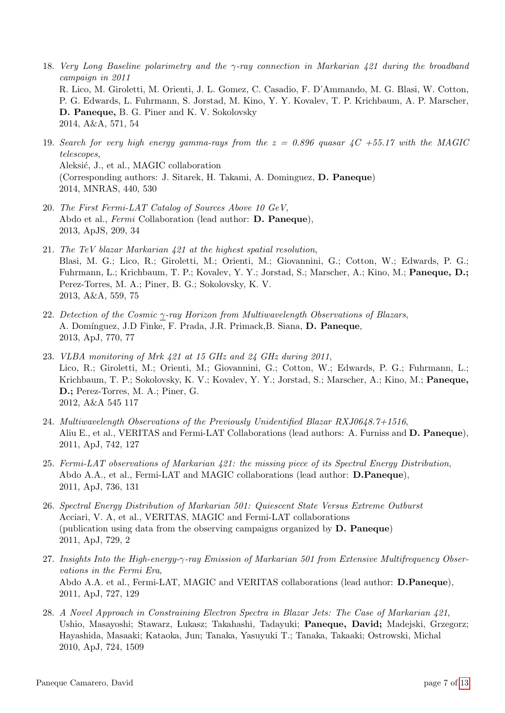- 18. Very Long Baseline polarimetry and the γ-ray connection in Markarian 421 during the broadband campaign in 2011 R. Lico, M. Giroletti, M. Orienti, J. L. Gomez, C. Casadio, F. D'Ammando, M. G. Blasi, W. Cotton, P. G. Edwards, L. Fuhrmann, S. Jorstad, M. Kino, Y. Y. Kovalev, T. P. Krichbaum, A. P. Marscher, D. Paneque, B. G. Piner and K. V. Sokolovsky 2014, A&A, 571, 54
- 19. Search for very high energy gamma-rays from the  $z = 0.896$  quasar  $\sqrt{4}C + 55.17$  with the MAGIC telescopes, Aleksić, J., et al., MAGIC collaboration (Corresponding authors: J. Sitarek, H. Takami, A. Dominguez, D. Paneque) 2014, MNRAS, 440, 530
- 20. The First Fermi-LAT Catalog of Sources Above 10 GeV, Abdo et al., Fermi Collaboration (lead author: D. Paneque), 2013, ApJS, 209, 34
- 21. The TeV blazar Markarian 421 at the highest spatial resolution, Blasi, M. G.; Lico, R.; Giroletti, M.; Orienti, M.; Giovannini, G.; Cotton, W.; Edwards, P. G.; Fuhrmann, L.; Krichbaum, T. P.; Kovalev, Y. Y.; Jorstad, S.; Marscher, A.; Kino, M.; Paneque, D.; Perez-Torres, M. A.; Piner, B. G.; Sokolovsky, K. V. 2013, A&A, 559, 75
- 22. Detection of the Cosmic γ-ray Horizon from Multiwavelength Observations of Blazars, A. Domínguez, J.D Finke, F. Prada, J.R. Primack, B. Siana, D. Paneque, 2013, ApJ, 770, 77
- 23. VLBA monitoring of Mrk 421 at 15 GHz and 24 GHz during 2011, Lico, R.; Giroletti, M.; Orienti, M.; Giovannini, G.; Cotton, W.; Edwards, P. G.; Fuhrmann, L.; Krichbaum, T. P.; Sokolovsky, K. V.; Kovalev, Y. Y.; Jorstad, S.; Marscher, A.; Kino, M.; Paneque, D.; Perez-Torres, M. A.; Piner, G. 2012, A&A 545 117
- 24. Multiwavelength Observations of the Previously Unidentified Blazar RXJ0648.7+1516, Aliu E., et al., VERITAS and Fermi-LAT Collaborations (lead authors: A. Furniss and D. Paneque), 2011, ApJ, 742, 127
- 25. Fermi-LAT observations of Markarian 421: the missing piece of its Spectral Energy Distribution, Abdo A.A., et al., Fermi-LAT and MAGIC collaborations (lead author: D.Paneque), 2011, ApJ, 736, 131
- 26. Spectral Energy Distribution of Markarian 501: Quiescent State Versus Extreme Outburst Acciari, V. A, et al., VERITAS, MAGIC and Fermi-LAT collaborations (publication using data from the observing campaigns organized by D. Paneque) 2011, ApJ, 729, 2
- 27. Insights Into the High-energy-γ-ray Emission of Markarian 501 from Extensive Multifrequency Observations in the Fermi Era, Abdo A.A. et al., Fermi-LAT, MAGIC and VERITAS collaborations (lead author: D.Paneque), 2011, ApJ, 727, 129
- 28. A Novel Approach in Constraining Electron Spectra in Blazar Jets: The Case of Markarian 421, Ushio, Masayoshi; Stawarz, Lukasz; Takahashi, Tadayuki; Paneque, David; Madejski, Grzegorz; Hayashida, Masaaki; Kataoka, Jun; Tanaka, Yasuyuki T.; Tanaka, Takaaki; Ostrowski, Michal 2010, ApJ, 724, 1509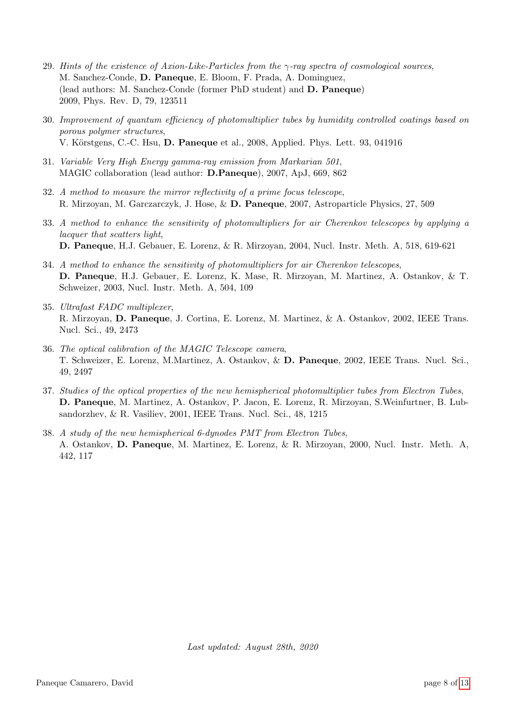- 29. Hints of the existence of Axion-Like-Particles from the  $\gamma$ -ray spectra of cosmological sources, M. Sanchez-Conde, D. Paneque, E. Bloom, F. Prada, A. Dominguez, (lead authors: M. Sanchez-Conde (former PhD student) and D. Paneque) 2009, Phys. Rev. D, 79, 123511
- 30. Improvement of quantum efficiency of photomultiplier tubes by humidity controlled coatings based on porous polymer structures, V. Körstgens, C.-C. Hsu, D. Paneque et al., 2008, Applied. Phys. Lett. 93, 041916
- 31. Variable Very High Energy gamma-ray emission from Markarian 501, MAGIC collaboration (lead author: D.Paneque), 2007, ApJ, 669, 862
- 32. A method to measure the mirror reflectivity of a prime focus telescope, R. Mirzoyan, M. Garczarczyk, J. Hose, & D. Paneque, 2007, Astroparticle Physics, 27, 509
- 33. A method to enhance the sensitivity of photomultipliers for air Cherenkov telescopes by applying a lacquer that scatters light, D. Paneque, H.J. Gebauer, E. Lorenz, & R. Mirzoyan, 2004, Nucl. Instr. Meth. A, 518, 619-621
- 34. A method to enhance the sensitivity of photomultipliers for air Cherenkov telescopes, D. Paneque, H.J. Gebauer, E. Lorenz, K. Mase, R. Mirzoyan, M. Martinez, A. Ostankov, & T. Schweizer, 2003, Nucl. Instr. Meth. A, 504, 109
- 35. Ultrafast FADC multiplexer, R. Mirzoyan, D. Paneque, J. Cortina, E. Lorenz, M. Martinez, & A. Ostankov, 2002, IEEE Trans. Nucl. Sci., 49, 2473
- 36. The optical calibration of the MAGIC Telescope camera, T. Schweizer, E. Lorenz, M.Martinez, A. Ostankov, & D. Paneque, 2002, IEEE Trans. Nucl. Sci., 49, 2497
- 37. Studies of the optical properties of the new hemispherical photomultiplier tubes from Electron Tubes, D. Paneque, M. Martinez, A. Ostankov, P. Jacon, E. Lorenz, R. Mirzoyan, S.Weinfurtner, B. Lubsandorzhev, & R. Vasiliev, 2001, IEEE Trans. Nucl. Sci., 48, 1215
- 38. A study of the new hemispherical 6-dynodes PMT from Electron Tubes, A. Ostankov, D. Paneque, M. Martinez, E. Lorenz, & R. Mirzoyan, 2000, Nucl. Instr. Meth. A, 442, 117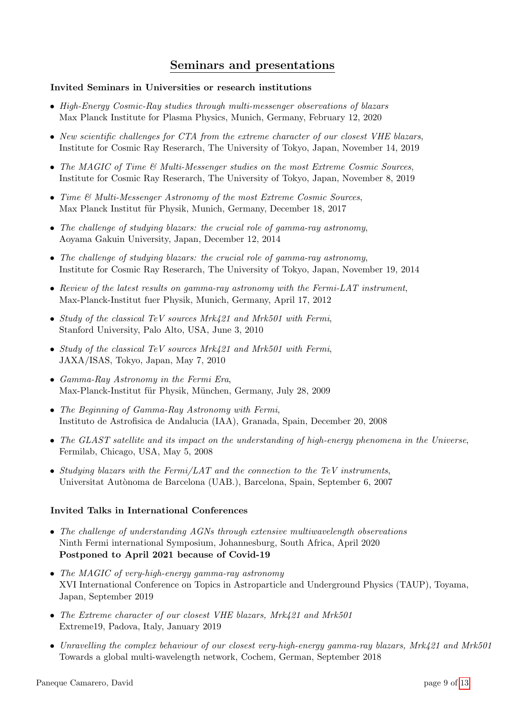## Seminars and presentations

## Invited Seminars in Universities or research institutions

- High-Energy Cosmic-Ray studies through multi-messenger observations of blazars Max Planck Institute for Plasma Physics, Munich, Germany, February 12, 2020
- New scientific challenges for CTA from the extreme character of our closest VHE blazars, Institute for Cosmic Ray Reserarch, The University of Tokyo, Japan, November 14, 2019
- The MAGIC of Time  $\mathcal{B}$  Multi-Messenger studies on the most Extreme Cosmic Sources, Institute for Cosmic Ray Reserarch, The University of Tokyo, Japan, November 8, 2019
- Time & Multi-Messenger Astronomy of the most Extreme Cosmic Sources, Max Planck Institut für Physik, Munich, Germany, December 18, 2017
- The challenge of studying blazars: the crucial role of gamma-ray astronomy, Aoyama Gakuin University, Japan, December 12, 2014
- The challenge of studying blazars: the crucial role of gamma-ray astronomy, Institute for Cosmic Ray Reserarch, The University of Tokyo, Japan, November 19, 2014
- Review of the latest results on gamma-ray astronomy with the Fermi-LAT instrument, Max-Planck-Institut fuer Physik, Munich, Germany, April 17, 2012
- Study of the classical TeV sources Mrk421 and Mrk501 with Fermi, Stanford University, Palo Alto, USA, June 3, 2010
- Study of the classical TeV sources Mrk421 and Mrk501 with Fermi, JAXA/ISAS, Tokyo, Japan, May 7, 2010
- Gamma-Ray Astronomy in the Fermi Era, Max-Planck-Institut für Physik, München, Germany, July 28, 2009
- The Beginning of Gamma-Ray Astronomy with Fermi, Instituto de Astrofisica de Andalucia (IAA), Granada, Spain, December 20, 2008
- The GLAST satellite and its impact on the understanding of high-energy phenomena in the Universe, Fermilab, Chicago, USA, May 5, 2008
- Studying blazars with the Fermi/LAT and the connection to the TeV instruments, Universitat Aut`onoma de Barcelona (UAB.), Barcelona, Spain, September 6, 2007

## Invited Talks in International Conferences

- The challenge of understanding AGNs through extensive multiwavelength observations Ninth Fermi international Symposium, Johannesburg, South Africa, April 2020 Postponed to April 2021 because of Covid-19
- The MAGIC of very-high-energy gamma-ray astronomy XVI International Conference on Topics in Astroparticle and Underground Physics (TAUP), Toyama, Japan, September 2019
- The Extreme character of our closest VHE blazars, Mrk421 and Mrk501 Extreme19, Padova, Italy, January 2019
- Unravelling the complex behaviour of our closest very-high-energy gamma-ray blazars, Mrk421 and Mrk501 Towards a global multi-wavelength network, Cochem, German, September 2018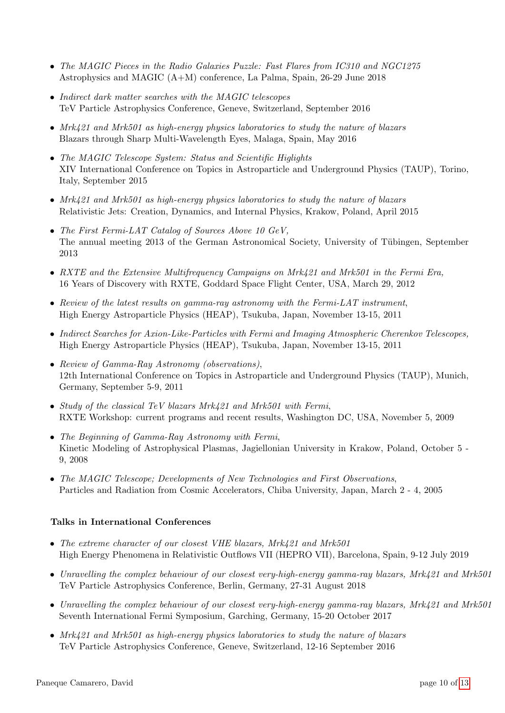- The MAGIC Pieces in the Radio Galaxies Puzzle: Fast Flares from IC310 and NGC1275 Astrophysics and MAGIC (A+M) conference, La Palma, Spain, 26-29 June 2018
- Indirect dark matter searches with the MAGIC telescopes TeV Particle Astrophysics Conference, Geneve, Switzerland, September 2016
- Mrk421 and Mrk501 as high-energy physics laboratories to study the nature of blazars Blazars through Sharp Multi-Wavelength Eyes, Malaga, Spain, May 2016
- The MAGIC Telescope System: Status and Scientific Higlights XIV International Conference on Topics in Astroparticle and Underground Physics (TAUP), Torino, Italy, September 2015
- Mrk421 and Mrk501 as high-energy physics laboratories to study the nature of blazars Relativistic Jets: Creation, Dynamics, and Internal Physics, Krakow, Poland, April 2015
- The First Fermi-LAT Catalog of Sources Above 10 GeV, The annual meeting 2013 of the German Astronomical Society, University of Tübingen, September 2013
- RXTE and the Extensive Multifrequency Campaigns on Mrk421 and Mrk501 in the Fermi Era, 16 Years of Discovery with RXTE, Goddard Space Flight Center, USA, March 29, 2012
- Review of the latest results on gamma-ray astronomy with the Fermi-LAT instrument, High Energy Astroparticle Physics (HEAP), Tsukuba, Japan, November 13-15, 2011
- Indirect Searches for Axion-Like-Particles with Fermi and Imaging Atmospheric Cherenkov Telescopes, High Energy Astroparticle Physics (HEAP), Tsukuba, Japan, November 13-15, 2011
- Review of Gamma-Ray Astronomy (observations), 12th International Conference on Topics in Astroparticle and Underground Physics (TAUP), Munich, Germany, September 5-9, 2011
- Study of the classical TeV blazars Mrk421 and Mrk501 with Fermi, RXTE Workshop: current programs and recent results, Washington DC, USA, November 5, 2009
- The Beginning of Gamma-Ray Astronomy with Fermi, Kinetic Modeling of Astrophysical Plasmas, Jagiellonian University in Krakow, Poland, October 5 - 9, 2008
- The MAGIC Telescope; Developments of New Technologies and First Observations, Particles and Radiation from Cosmic Accelerators, Chiba University, Japan, March 2 - 4, 2005

### Talks in International Conferences

- The extreme character of our closest VHE blazars, Mrk421 and Mrk501 High Energy Phenomena in Relativistic Outflows VII (HEPRO VII), Barcelona, Spain, 9-12 July 2019
- Unravelling the complex behaviour of our closest very-high-energy gamma-ray blazars, Mrk421 and Mrk501 TeV Particle Astrophysics Conference, Berlin, Germany, 27-31 August 2018
- Unravelling the complex behaviour of our closest very-high-energy gamma-ray blazars, Mrk421 and Mrk501 Seventh International Fermi Symposium, Garching, Germany, 15-20 October 2017
- Mrk421 and Mrk501 as high-energy physics laboratories to study the nature of blazars TeV Particle Astrophysics Conference, Geneve, Switzerland, 12-16 September 2016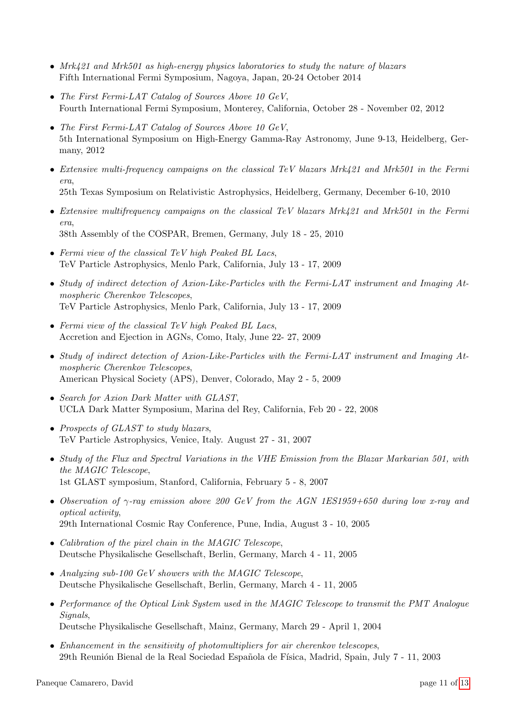- Mrk421 and Mrk501 as high-energy physics laboratories to study the nature of blazars Fifth International Fermi Symposium, Nagoya, Japan, 20-24 October 2014
- The First Fermi-LAT Catalog of Sources Above 10 GeV, Fourth International Fermi Symposium, Monterey, California, October 28 - November 02, 2012
- The First Fermi-LAT Catalog of Sources Above 10 GeV, 5th International Symposium on High-Energy Gamma-Ray Astronomy, June 9-13, Heidelberg, Germany, 2012
- Extensive multi-frequency campaigns on the classical TeV blazars Mrk421 and Mrk501 in the Fermi era, 25th Texas Symposium on Relativistic Astrophysics, Heidelberg, Germany, December 6-10, 2010
- Extensive multifrequency campaigns on the classical TeV blazars Mrk421 and Mrk501 in the Fermi era, 38th Assembly of the COSPAR, Bremen, Germany, July 18 - 25, 2010
- Fermi view of the classical TeV high Peaked BL Lacs, TeV Particle Astrophysics, Menlo Park, California, July 13 - 17, 2009
- Study of indirect detection of Axion-Like-Particles with the Fermi-LAT instrument and Imaging Atmospheric Cherenkov Telescopes, TeV Particle Astrophysics, Menlo Park, California, July 13 - 17, 2009
- Fermi view of the classical TeV high Peaked BL Lacs, Accretion and Ejection in AGNs, Como, Italy, June 22- 27, 2009
- Study of indirect detection of Axion-Like-Particles with the Fermi-LAT instrument and Imaging Atmospheric Cherenkov Telescopes, American Physical Society (APS), Denver, Colorado, May 2 - 5, 2009
- Search for Axion Dark Matter with GLAST, UCLA Dark Matter Symposium, Marina del Rey, California, Feb 20 - 22, 2008
- Prospects of GLAST to study blazars, TeV Particle Astrophysics, Venice, Italy. August 27 - 31, 2007
- Study of the Flux and Spectral Variations in the VHE Emission from the Blazar Markarian 501, with the MAGIC Telescope, 1st GLAST symposium, Stanford, California, February 5 - 8, 2007
- Observation of  $\gamma$ -ray emission above 200 GeV from the AGN 1ES1959+650 during low x-ray and optical activity, 29th International Cosmic Ray Conference, Pune, India, August 3 - 10, 2005
- Calibration of the pixel chain in the MAGIC Telescope, Deutsche Physikalische Gesellschaft, Berlin, Germany, March 4 - 11, 2005
- Analyzing sub-100 GeV showers with the MAGIC Telescope, Deutsche Physikalische Gesellschaft, Berlin, Germany, March 4 - 11, 2005
- Performance of the Optical Link System used in the MAGIC Telescope to transmit the PMT Analogue Signals, Deutsche Physikalische Gesellschaft, Mainz, Germany, March 29 - April 1, 2004
- Enhancement in the sensitivity of photomultipliers for air cherenkov telescopes, 29th Reunión Bienal de la Real Sociedad Española de Física, Madrid, Spain, July 7 - 11, 2003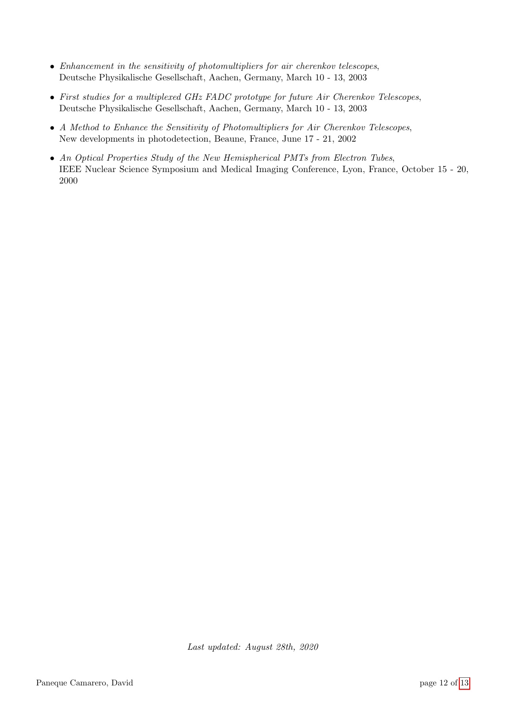- Enhancement in the sensitivity of photomultipliers for air cherenkov telescopes, Deutsche Physikalische Gesellschaft, Aachen, Germany, March 10 - 13, 2003
- First studies for a multiplexed GHz FADC prototype for future Air Cherenkov Telescopes, Deutsche Physikalische Gesellschaft, Aachen, Germany, March 10 - 13, 2003
- A Method to Enhance the Sensitivity of Photomultipliers for Air Cherenkov Telescopes, New developments in photodetection, Beaune, France, June 17 - 21, 2002
- An Optical Properties Study of the New Hemispherical PMTs from Electron Tubes, IEEE Nuclear Science Symposium and Medical Imaging Conference, Lyon, France, October 15 - 20, 2000

Last updated: August 28th, 2020